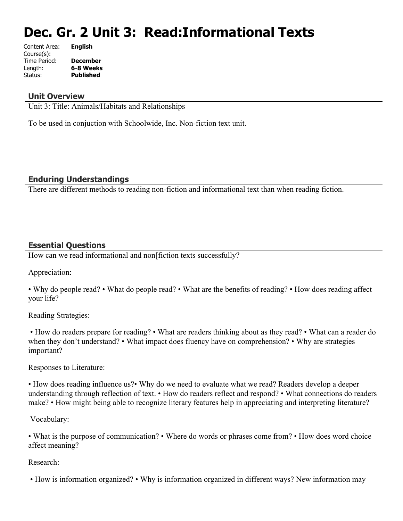# **Dec. Gr. 2 Unit 3: Read:Informational Texts**

| Content Area: | <b>English</b>   |
|---------------|------------------|
| Course(s):    |                  |
| Time Period:  | <b>December</b>  |
| Length:       | 6-8 Weeks        |
| Status:       | <b>Published</b> |
|               |                  |

# **Unit Overview**

Unit 3: Title: Animals/Habitats and Relationships

To be used in conjuction with Schoolwide, Inc. Non-fiction text unit.

# **Enduring Understandings**

There are different methods to reading non-fiction and informational text than when reading fiction.

# **Essential Questions**

How can we read informational and non fiction texts successfully?

Appreciation:

• Why do people read? • What do people read? • What are the benefits of reading? • How does reading affect your life?

Reading Strategies:

 • How do readers prepare for reading? • What are readers thinking about as they read? • What can a reader do when they don't understand? • What impact does fluency have on comprehension? • Why are strategies important?

Responses to Literature:

• How does reading influence us?• Why do we need to evaluate what we read? Readers develop a deeper understanding through reflection of text. • How do readers reflect and respond? • What connections do readers make? • How might being able to recognize literary features help in appreciating and interpreting literature?

Vocabulary:

• What is the purpose of communication? • Where do words or phrases come from? • How does word choice affect meaning?

#### Research:

• How is information organized? • Why is information organized in different ways? New information may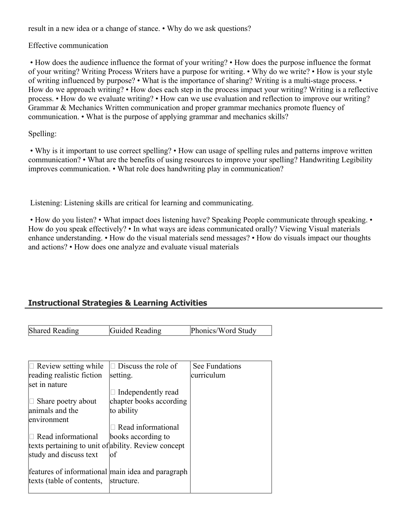result in a new idea or a change of stance. • Why do we ask questions?

Effective communication

 • How does the audience influence the format of your writing? • How does the purpose influence the format of your writing? Writing Process Writers have a purpose for writing. • Why do we write? • How is your style of writing influenced by purpose? • What is the importance of sharing? Writing is a multi-stage process. • How do we approach writing? • How does each step in the process impact your writing? Writing is a reflective process. • How do we evaluate writing? • How can we use evaluation and reflection to improve our writing? Grammar & Mechanics Written communication and proper grammar mechanics promote fluency of communication. • What is the purpose of applying grammar and mechanics skills?

Spelling:

 • Why is it important to use correct spelling? • How can usage of spelling rules and patterns improve written communication? • What are the benefits of using resources to improve your spelling? Handwriting Legibility improves communication. • What role does handwriting play in communication?

Listening: Listening skills are critical for learning and communicating.

• How do you listen? • What impact does listening have? Speaking People communicate through speaking. • How do you speak effectively? • In what ways are ideas communicated orally? Viewing Visual materials enhance understanding. • How do the visual materials send messages? • How do visuals impact our thoughts and actions? • How does one analyze and evaluate visual materials

# **Instructional Strategies & Learning Activities**

Shared Reading **Guided Reading Phonics/Word Study** 

| $\Box$ Review setting while                         | $\Box$ Discuss the role of | See Fundations |
|-----------------------------------------------------|----------------------------|----------------|
| reading realistic fiction                           | setting.                   | curriculum     |
| set in nature                                       |                            |                |
|                                                     | Independently read         |                |
| $\Box$ Share poetry about                           | chapter books according    |                |
| animals and the                                     | to ability                 |                |
| environment                                         |                            |                |
|                                                     | $\Box$ Read informational  |                |
| $\Box$ Read informational                           | books according to         |                |
| texts pertaining to unit of ability. Review concept |                            |                |
| study and discuss text                              | lof                        |                |
|                                                     |                            |                |
| features of informational main idea and paragraph   |                            |                |
| texts (table of contents,                           | structure.                 |                |
|                                                     |                            |                |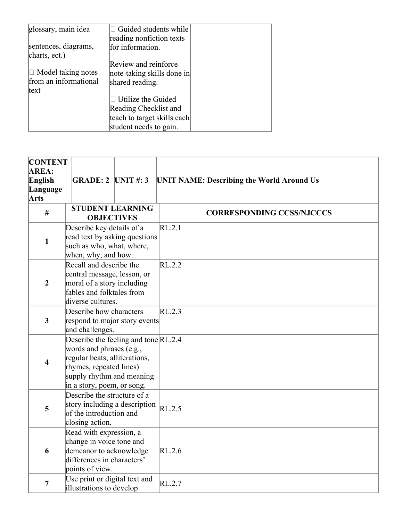| glossary, main idea       | $\Box$ Guided students while |  |
|---------------------------|------------------------------|--|
|                           | reading nonfiction texts     |  |
| sentences, diagrams,      | for information.             |  |
| charts, ect.)             |                              |  |
|                           | Review and reinforce         |  |
| $\Box$ Model taking notes | note-taking skills done in   |  |
| from an informational     | shared reading.              |  |
| text                      |                              |  |
|                           | $\Box$ Utilize the Guided    |  |
|                           | Reading Checklist and        |  |
|                           | teach to target skills each  |  |
|                           | student needs to gain.       |  |

| <b>CONTENT</b>          |                               |                                        |                                                  |
|-------------------------|-------------------------------|----------------------------------------|--------------------------------------------------|
| AREA:                   |                               |                                        |                                                  |
| English                 | $GRADE: 2$ UNIT #: 3          |                                        | <b>UNIT NAME: Describing the World Around Us</b> |
| Language                |                               |                                        |                                                  |
| <b>Arts</b>             |                               |                                        |                                                  |
|                         |                               | <b>STUDENT LEARNING</b>                |                                                  |
| $\#$                    | <b>OBJECTIVES</b>             |                                        | <b>CORRESPONDING CCSS/NJCCCS</b>                 |
|                         | Describe key details of a     |                                        | RL.2.1                                           |
|                         |                               | read text by asking questions          |                                                  |
| $\mathbf{1}$            | such as who, what, where,     |                                        |                                                  |
|                         | when, why, and how.           |                                        |                                                  |
|                         | Recall and describe the       |                                        | RL.2.2                                           |
|                         | central message, lesson, or   |                                        |                                                  |
| $\boldsymbol{2}$        | moral of a story including    |                                        |                                                  |
|                         | fables and folktales from     |                                        |                                                  |
|                         | diverse cultures.             |                                        |                                                  |
|                         | Describe how characters       |                                        | RL.2.3                                           |
| $\overline{\mathbf{3}}$ |                               | respond to major story events          |                                                  |
|                         | and challenges.               |                                        |                                                  |
|                         |                               | Describe the feeling and tone $RL.2.4$ |                                                  |
|                         | words and phrases (e.g.,      |                                        |                                                  |
|                         | regular beats, alliterations, |                                        |                                                  |
| 4                       | rhymes, repeated lines)       |                                        |                                                  |
|                         |                               | supply rhythm and meaning              |                                                  |
|                         | in a story, poem, or song.    |                                        |                                                  |
|                         | Describe the structure of a   |                                        |                                                  |
|                         |                               | story including a description          |                                                  |
| 5                       | of the introduction and       |                                        | RL.2.5                                           |
|                         | closing action.               |                                        |                                                  |
|                         | Read with expression, a       |                                        |                                                  |
|                         | change in voice tone and      |                                        |                                                  |
| 6                       | demeanor to acknowledge       |                                        | RL.2.6                                           |
|                         | differences in characters'    |                                        |                                                  |
|                         | points of view.               |                                        |                                                  |
|                         | Use print or digital text and |                                        |                                                  |
| $\overline{7}$          | illustrations to develop      |                                        | RL.2.7                                           |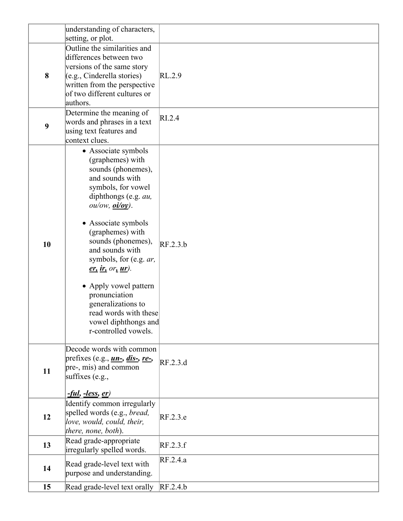|    | understanding of characters,                                                                                                                                                                                                                                                                                                                                                                                                         |          |
|----|--------------------------------------------------------------------------------------------------------------------------------------------------------------------------------------------------------------------------------------------------------------------------------------------------------------------------------------------------------------------------------------------------------------------------------------|----------|
| 8  | setting, or plot.<br>Outline the similarities and<br>differences between two<br>versions of the same story<br>(e.g., Cinderella stories)<br>written from the perspective<br>of two different cultures or<br>authors.                                                                                                                                                                                                                 | RL.2.9   |
| 9  | Determine the meaning of<br>words and phrases in a text<br>using text features and<br>context clues.                                                                                                                                                                                                                                                                                                                                 | RI.2.4   |
| 10 | • Associate symbols<br>(graphemes) with<br>sounds (phonemes),<br>and sounds with<br>symbols, for vowel<br>diphthongs (e.g. au,<br>ou/ow, <u>oi/oy</u> .<br>• Associate symbols<br>(graphemes) with<br>sounds (phonemes),<br>and sounds with<br>symbols, for (e.g. ar,<br>$er, ir, or, ur$ .<br>• Apply vowel pattern<br>pronunciation<br>generalizations to<br>read words with these<br>vowel diphthongs and<br>r-controlled vowels. | RF.2.3.b |
| 11 | Decode words with common<br>prefixes (e.g., <i>un-</i> , <i>dis-</i> , <i>re-</i> ,<br>pre-, mis) and common<br>suffixes $(e.g.,$<br><u>-ful, -less, er)</u>                                                                                                                                                                                                                                                                         | RF.2.3.d |
| 12 | Identify common irregularly<br>spelled words (e.g., bread,<br>love, would, could, their,<br>there, none, both).                                                                                                                                                                                                                                                                                                                      | RF.2.3.e |
| 13 | Read grade-appropriate<br>irregularly spelled words.                                                                                                                                                                                                                                                                                                                                                                                 | RF.2.3.f |
| 14 | Read grade-level text with<br>purpose and understanding.                                                                                                                                                                                                                                                                                                                                                                             | RF.2.4.a |
| 15 | Read grade-level text orally RF.2.4.b                                                                                                                                                                                                                                                                                                                                                                                                |          |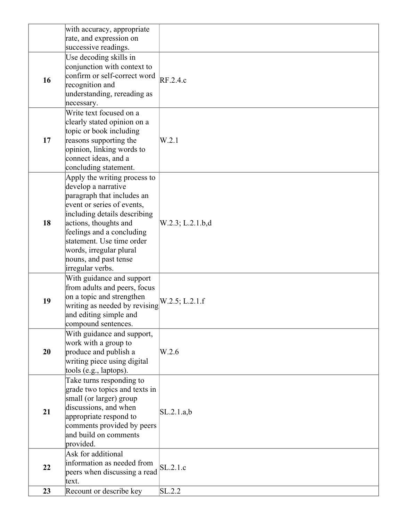|    | with accuracy, appropriate<br>rate, and expression on                                                                                                                                                                                                                                                      |                  |
|----|------------------------------------------------------------------------------------------------------------------------------------------------------------------------------------------------------------------------------------------------------------------------------------------------------------|------------------|
|    | successive readings.                                                                                                                                                                                                                                                                                       |                  |
| 16 | Use decoding skills in<br>conjunction with context to<br>confirm or self-correct word<br>recognition and<br>understanding, rereading as<br>necessary.                                                                                                                                                      | RF.2.4.c         |
| 17 | Write text focused on a<br>clearly stated opinion on a<br>topic or book including<br>reasons supporting the<br>opinion, linking words to<br>connect ideas, and a<br>concluding statement.                                                                                                                  | W.2.1            |
| 18 | Apply the writing process to<br>develop a narrative<br>paragraph that includes an<br>event or series of events,<br>including details describing<br>actions, thoughts and<br>feelings and a concluding<br>statement. Use time order<br>words, irregular plural<br>nouns, and past tense<br>irregular verbs. | W.2.3; L.2.1.b,d |
| 19 | With guidance and support<br>from adults and peers, focus<br>on a topic and strengthen<br>writing as needed by revising<br>and editing simple and<br>compound sentences.                                                                                                                                   | W.2.5; L.2.1.f   |
| 20 | With guidance and support,<br>work with a group to<br>produce and publish a<br>writing piece using digital<br>tools (e.g., laptops).                                                                                                                                                                       | W.2.6            |
| 21 | Take turns responding to<br>grade two topics and texts in<br>small (or larger) group<br>discussions, and when<br>appropriate respond to<br>comments provided by peers<br>and build on comments<br>provided.                                                                                                | SL.2.1.a,b       |
| 22 | Ask for additional<br>information as needed from<br>peers when discussing a read<br>text.                                                                                                                                                                                                                  | SL.2.1.c         |
| 23 | Recount or describe key                                                                                                                                                                                                                                                                                    | SL.2.2           |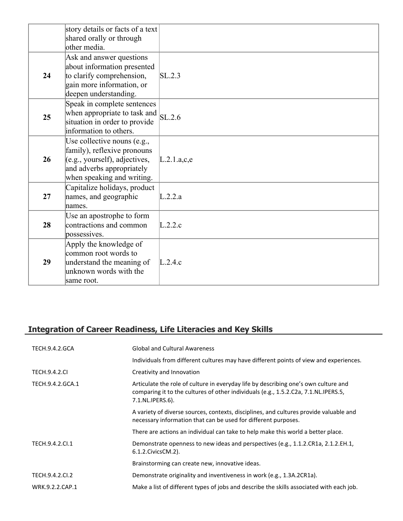|    | story details or facts of a text<br>shared orally or through<br>other media.                                                                           |             |
|----|--------------------------------------------------------------------------------------------------------------------------------------------------------|-------------|
| 24 | Ask and answer questions<br>about information presented<br>to clarify comprehension,<br>gain more information, or<br>deepen understanding.             | SL.2.3      |
| 25 | Speak in complete sentences<br>when appropriate to task and<br>situation in order to provide<br>information to others.                                 | SL.2.6      |
| 26 | Use collective nouns (e.g.,<br>family), reflexive pronouns<br>(e.g., yourself), adjectives,<br>and adverbs appropriately<br>when speaking and writing. | L.2.1.a,c,e |
| 27 | Capitalize holidays, product<br>names, and geographic<br>mames.                                                                                        | L.2.2.a     |
| 28 | Use an apostrophe to form<br>contractions and common<br>possessives.                                                                                   | L.2.2.c     |
| 29 | Apply the knowledge of<br>common root words to<br>understand the meaning of<br>unknown words with the<br>same root.                                    | L.2.4.c     |

# **Integration of Career Readiness, Life Literacies and Key Skills**

| <b>TECH.9.4.2.GCA</b> | <b>Global and Cultural Awareness</b>                                                                                                                                                           |
|-----------------------|------------------------------------------------------------------------------------------------------------------------------------------------------------------------------------------------|
|                       | Individuals from different cultures may have different points of view and experiences.                                                                                                         |
| <b>TECH.9.4.2.CI</b>  | Creativity and Innovation                                                                                                                                                                      |
| TECH.9.4.2.GCA.1      | Articulate the role of culture in everyday life by describing one's own culture and<br>comparing it to the cultures of other individuals (e.g., 1.5.2.C2a, 7.1.NL.IPERS.5,<br>7.1.NL.IPERS.6). |
|                       | A variety of diverse sources, contexts, disciplines, and cultures provide valuable and<br>necessary information that can be used for different purposes.                                       |
|                       | There are actions an individual can take to help make this world a better place.                                                                                                               |
| TECH.9.4.2.Cl.1       | Demonstrate openness to new ideas and perspectives (e.g., 1.1.2.CR1a, 2.1.2.EH.1,<br>6.1.2. Civics CM. 2).                                                                                     |
|                       | Brainstorming can create new, innovative ideas.                                                                                                                                                |
| TECH.9.4.2.CI.2       | Demonstrate originality and inventiveness in work (e.g., 1.3A.2CR1a).                                                                                                                          |
| WRK.9.2.2.CAP.1       | Make a list of different types of jobs and describe the skills associated with each job.                                                                                                       |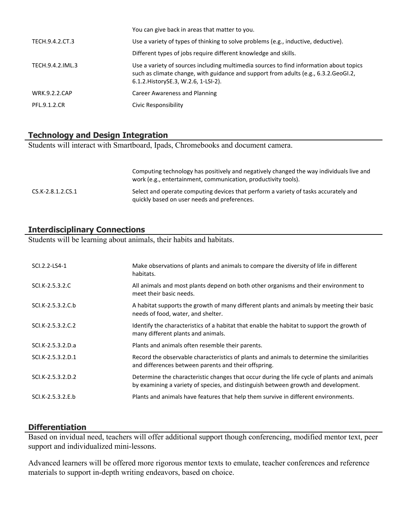|                      | You can give back in areas that matter to you.                                                                                                                                                                          |
|----------------------|-------------------------------------------------------------------------------------------------------------------------------------------------------------------------------------------------------------------------|
| TECH.9.4.2.CT.3      | Use a variety of types of thinking to solve problems (e.g., inductive, deductive).                                                                                                                                      |
|                      | Different types of jobs require different knowledge and skills.                                                                                                                                                         |
| TECH.9.4.2.IML.3     | Use a variety of sources including multimedia sources to find information about topics<br>such as climate change, with guidance and support from adults (e.g., 6.3.2. GeoGI.2,<br>6.1.2. History SE.3, W.2.6, 1-LSI-2). |
| <b>WRK.9.2.2.CAP</b> | Career Awareness and Planning                                                                                                                                                                                           |
| PFL.9.1.2.CR         | Civic Responsibility                                                                                                                                                                                                    |

# **Technology and Design Integration**

Students will interact with Smartboard, Ipads, Chromebooks and document camera.

|                     | Computing technology has positively and negatively changed the way individuals live and<br>work (e.g., entertainment, communication, productivity tools). |
|---------------------|-----------------------------------------------------------------------------------------------------------------------------------------------------------|
| $CS.K-2.8.1.2.CS.1$ | Select and operate computing devices that perform a variety of tasks accurately and<br>quickly based on user needs and preferences.                       |

# **Interdisciplinary Connections**

Students will be learning about animals, their habits and habitats.

| SCI.2.2-LS4-1     | Make observations of plants and animals to compare the diversity of life in different<br>habitats.                                                                                |
|-------------------|-----------------------------------------------------------------------------------------------------------------------------------------------------------------------------------|
| SCI.K-2.5.3.2.C   | All animals and most plants depend on both other organisms and their environment to<br>meet their basic needs.                                                                    |
| SCI.K-2.5.3.2.C.b | A habitat supports the growth of many different plants and animals by meeting their basic<br>needs of food, water, and shelter.                                                   |
| SCI.K-2.5.3.2.C.2 | Identify the characteristics of a habitat that enable the habitat to support the growth of<br>many different plants and animals.                                                  |
| SCI.K-2.5.3.2.D.a | Plants and animals often resemble their parents.                                                                                                                                  |
| SCI.K-2.5.3.2.D.1 | Record the observable characteristics of plants and animals to determine the similarities<br>and differences between parents and their offspring.                                 |
| SCI.K-2.5.3.2.D.2 | Determine the characteristic changes that occur during the life cycle of plants and animals<br>by examining a variety of species, and distinguish between growth and development. |
| SCI.K-2.5.3.2.E.b | Plants and animals have features that help them survive in different environments.                                                                                                |

## **Differentiation**

Based on invidual need, teachers will offer additional support though conferencing, modified mentor text, peer support and individualized mini-lessons.

Advanced learners will be offered more rigorous mentor texts to emulate, teacher conferences and reference materials to support in-depth writing endeavors, based on choice.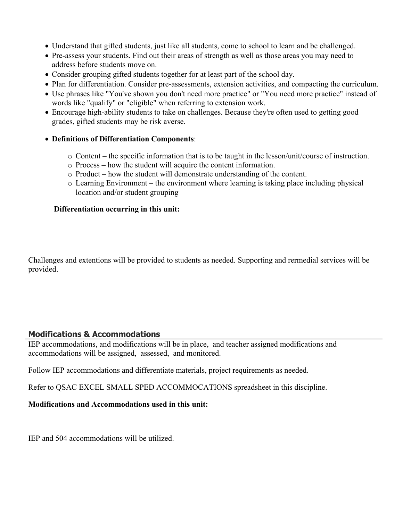- Understand that gifted students, just like all students, come to school to learn and be challenged.
- Pre-assess your students. Find out their areas of strength as well as those areas you may need to address before students move on.
- Consider grouping gifted students together for at least part of the school day.
- Plan for differentiation. Consider pre-assessments, extension activities, and compacting the curriculum.
- Use phrases like "You've shown you don't need more practice" or "You need more practice" instead of words like "qualify" or "eligible" when referring to extension work.
- Encourage high-ability students to take on challenges. Because they're often used to getting good grades, gifted students may be risk averse.

# **Definitions of Differentiation Components**:

- o Content the specific information that is to be taught in the lesson/unit/course of instruction.
- o Process how the student will acquire the content information.
- o Product how the student will demonstrate understanding of the content.
- o Learning Environment the environment where learning is taking place including physical location and/or student grouping

## **Differentiation occurring in this unit:**

Challenges and extentions will be provided to students as needed. Supporting and rermedial services will be provided.

# **Modifications & Accommodations**

IEP accommodations, and modifications will be in place, and teacher assigned modifications and accommodations will be assigned, assessed, and monitored.

Follow IEP accommodations and differentiate materials, project requirements as needed.

Refer to QSAC EXCEL SMALL SPED ACCOMMOCATIONS spreadsheet in this discipline.

## **Modifications and Accommodations used in this unit:**

IEP and 504 accommodations will be utilized.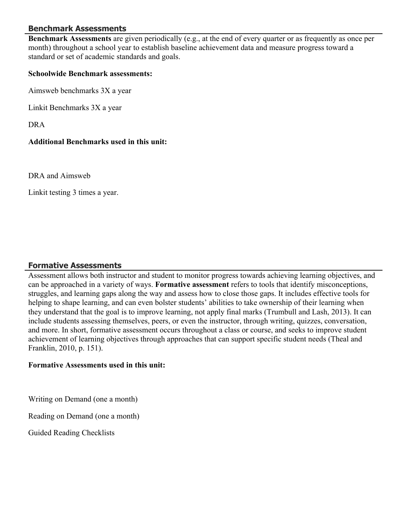# **Benchmark Assessments**

**Benchmark Assessments** are given periodically (e.g., at the end of every quarter or as frequently as once per month) throughout a school year to establish baseline achievement data and measure progress toward a standard or set of academic standards and goals.

#### **Schoolwide Benchmark assessments:**

Aimsweb benchmarks 3X a year

Linkit Benchmarks 3X a year

DRA

## **Additional Benchmarks used in this unit:**

DRA and Aimsweb

Linkit testing 3 times a year.

## **Formative Assessments**

Assessment allows both instructor and student to monitor progress towards achieving learning objectives, and can be approached in a variety of ways. **Formative assessment** refers to tools that identify misconceptions, struggles, and learning gaps along the way and assess how to close those gaps. It includes effective tools for helping to shape learning, and can even bolster students' abilities to take ownership of their learning when they understand that the goal is to improve learning, not apply final marks (Trumbull and Lash, 2013). It can include students assessing themselves, peers, or even the instructor, through writing, quizzes, conversation, and more. In short, formative assessment occurs throughout a class or course, and seeks to improve student achievement of learning objectives through approaches that can support specific student needs (Theal and Franklin, 2010, p. 151).

#### **Formative Assessments used in this unit:**

Writing on Demand (one a month)

Reading on Demand (one a month)

Guided Reading Checklists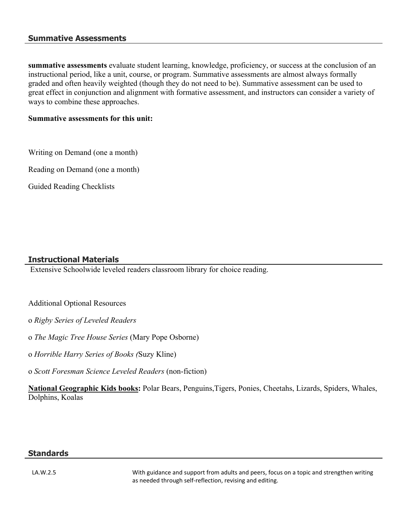#### **Summative Assessments**

**summative assessments** evaluate student learning, knowledge, proficiency, or success at the conclusion of an instructional period, like a unit, course, or program. Summative assessments are almost always formally graded and often heavily weighted (though they do not need to be). Summative assessment can be used to great effect in conjunction and alignment with formative assessment, and instructors can consider a variety of ways to combine these approaches.

#### **Summative assessments for this unit:**

Writing on Demand (one a month)

Reading on Demand (one a month)

Guided Reading Checklists

# **Instructional Materials**

Extensive Schoolwide leveled readers classroom library for choice reading.

Additional Optional Resources

o *Rigby Series of Leveled Readers*

o *The Magic Tree House Series* (Mary Pope Osborne)

o *Horrible Harry Series of Books (*Suzy Kline)

o *Scott Foresman Science Leveled Readers* (non-fiction)

**National Geographic Kids books:** Polar Bears, Penguins,Tigers, Ponies, Cheetahs, Lizards, Spiders, Whales, Dolphins, Koalas

#### **Standards**

LA.W.2.5 With guidance and support from adults and peers, focus on a topic and strengthen writing as needed through self-reflection, revising and editing.